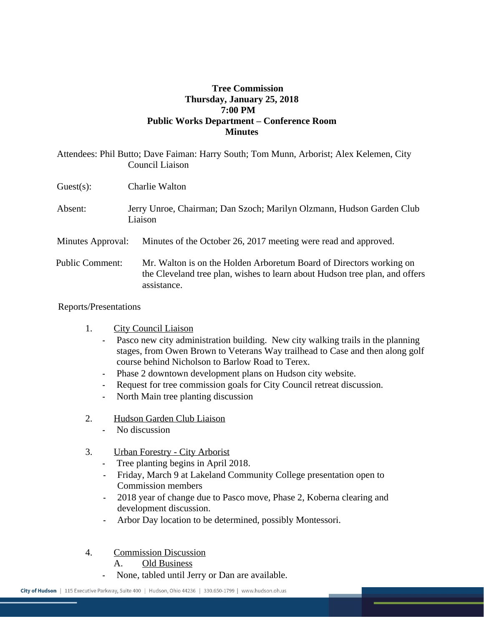## **Tree Commission Thursday, January 25, 2018 7:00 PM Public Works Department – Conference Room Minutes**

Attendees: Phil Butto; Dave Faiman: Harry South; Tom Munn, Arborist; Alex Kelemen, City

|                        | Auendees: Phil Butto; Dave Falman: Harry South; Tom Munn, Arborist; Alex Refemen, City<br>Council Liaison                                                         |
|------------------------|-------------------------------------------------------------------------------------------------------------------------------------------------------------------|
| $Guest(s)$ :           | Charlie Walton                                                                                                                                                    |
| Absent:                | Jerry Unroe, Chairman; Dan Szoch; Marilyn Olzmann, Hudson Garden Club<br>Liaison                                                                                  |
| Minutes Approval:      | Minutes of the October 26, 2017 meeting were read and approved.                                                                                                   |
| <b>Public Comment:</b> | Mr. Walton is on the Holden Arboretum Board of Directors working on<br>the Cleveland tree plan, wishes to learn about Hudson tree plan, and offers<br>assistance. |

## Reports/Presentations

- 1. City Council Liaison
	- Pasco new city administration building. New city walking trails in the planning stages, from Owen Brown to Veterans Way trailhead to Case and then along golf course behind Nicholson to Barlow Road to Terex.
	- Phase 2 downtown development plans on Hudson city website.
	- Request for tree commission goals for City Council retreat discussion.
	- North Main tree planting discussion
- 2. Hudson Garden Club Liaison
	- No discussion
- 3. Urban Forestry City Arborist
	- Tree planting begins in April 2018.
	- Friday, March 9 at Lakeland Community College presentation open to Commission members
	- 2018 year of change due to Pasco move, Phase 2, Koberna clearing and development discussion.
	- Arbor Day location to be determined, possibly Montessori.
- 4. Commission Discussion
	- A. Old Business
	- None, tabled until Jerry or Dan are available.